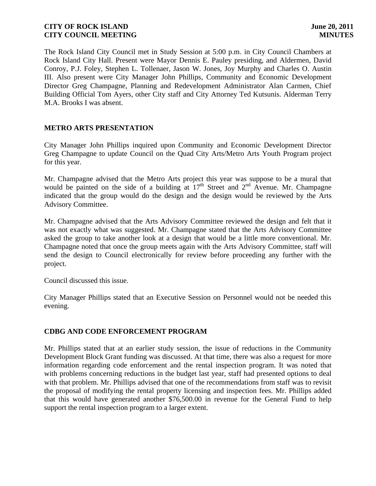The Rock Island City Council met in Study Session at 5:00 p.m. in City Council Chambers at Rock Island City Hall. Present were Mayor Dennis E. Pauley presiding, and Aldermen, David Conroy, P.J. Foley, Stephen L. Tollenaer, Jason W. Jones, Joy Murphy and Charles O. Austin III. Also present were City Manager John Phillips, Community and Economic Development Director Greg Champagne, Planning and Redevelopment Administrator Alan Carmen, Chief Building Official Tom Ayers, other City staff and City Attorney Ted Kutsunis. Alderman Terry M.A. Brooks I was absent.

# **METRO ARTS PRESENTATION**

City Manager John Phillips inquired upon Community and Economic Development Director Greg Champagne to update Council on the Quad City Arts/Metro Arts Youth Program project for this year.

Mr. Champagne advised that the Metro Arts project this year was suppose to be a mural that would be painted on the side of a building at  $17<sup>th</sup>$  Street and  $2<sup>nd</sup>$  Avenue. Mr. Champagne indicated that the group would do the design and the design would be reviewed by the Arts Advisory Committee.

Mr. Champagne advised that the Arts Advisory Committee reviewed the design and felt that it was not exactly what was suggested. Mr. Champagne stated that the Arts Advisory Committee asked the group to take another look at a design that would be a little more conventional. Mr. Champagne noted that once the group meets again with the Arts Advisory Committee, staff will send the design to Council electronically for review before proceeding any further with the project.

Council discussed this issue.

City Manager Phillips stated that an Executive Session on Personnel would not be needed this evening.

### **CDBG AND CODE ENFORCEMENT PROGRAM**

Mr. Phillips stated that at an earlier study session, the issue of reductions in the Community Development Block Grant funding was discussed. At that time, there was also a request for more information regarding code enforcement and the rental inspection program. It was noted that with problems concerning reductions in the budget last year, staff had presented options to deal with that problem. Mr. Phillips advised that one of the recommendations from staff was to revisit the proposal of modifying the rental property licensing and inspection fees. Mr. Phillips added that this would have generated another \$76,500.00 in revenue for the General Fund to help support the rental inspection program to a larger extent.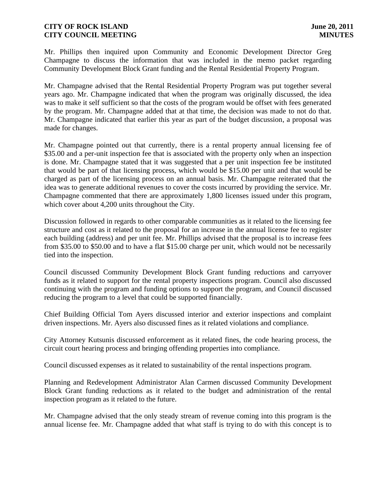Mr. Phillips then inquired upon Community and Economic Development Director Greg Champagne to discuss the information that was included in the memo packet regarding Community Development Block Grant funding and the Rental Residential Property Program.

Mr. Champagne advised that the Rental Residential Property Program was put together several years ago. Mr. Champagne indicated that when the program was originally discussed, the idea was to make it self sufficient so that the costs of the program would be offset with fees generated by the program. Mr. Champagne added that at that time, the decision was made to not do that. Mr. Champagne indicated that earlier this year as part of the budget discussion, a proposal was made for changes.

Mr. Champagne pointed out that currently, there is a rental property annual licensing fee of \$35.00 and a per-unit inspection fee that is associated with the property only when an inspection is done. Mr. Champagne stated that it was suggested that a per unit inspection fee be instituted that would be part of that licensing process, which would be \$15.00 per unit and that would be charged as part of the licensing process on an annual basis. Mr. Champagne reiterated that the idea was to generate additional revenues to cover the costs incurred by providing the service. Mr. Champagne commented that there are approximately 1,800 licenses issued under this program, which cover about 4,200 units throughout the City.

Discussion followed in regards to other comparable communities as it related to the licensing fee structure and cost as it related to the proposal for an increase in the annual license fee to register each building (address) and per unit fee. Mr. Phillips advised that the proposal is to increase fees from \$35.00 to \$50.00 and to have a flat \$15.00 charge per unit, which would not be necessarily tied into the inspection.

Council discussed Community Development Block Grant funding reductions and carryover funds as it related to support for the rental property inspections program. Council also discussed continuing with the program and funding options to support the program, and Council discussed reducing the program to a level that could be supported financially.

Chief Building Official Tom Ayers discussed interior and exterior inspections and complaint driven inspections. Mr. Ayers also discussed fines as it related violations and compliance.

City Attorney Kutsunis discussed enforcement as it related fines, the code hearing process, the circuit court hearing process and bringing offending properties into compliance.

Council discussed expenses as it related to sustainability of the rental inspections program.

Planning and Redevelopment Administrator Alan Carmen discussed Community Development Block Grant funding reductions as it related to the budget and administration of the rental inspection program as it related to the future.

Mr. Champagne advised that the only steady stream of revenue coming into this program is the annual license fee. Mr. Champagne added that what staff is trying to do with this concept is to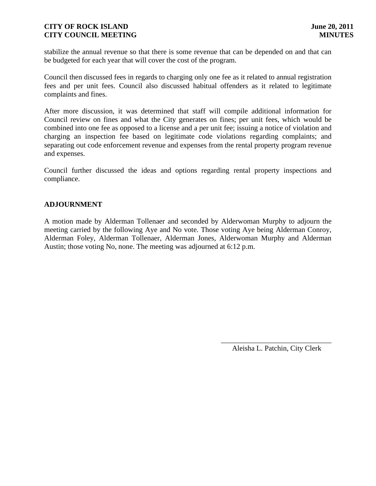stabilize the annual revenue so that there is some revenue that can be depended on and that can be budgeted for each year that will cover the cost of the program.

Council then discussed fees in regards to charging only one fee as it related to annual registration fees and per unit fees. Council also discussed habitual offenders as it related to legitimate complaints and fines.

After more discussion, it was determined that staff will compile additional information for Council review on fines and what the City generates on fines; per unit fees, which would be combined into one fee as opposed to a license and a per unit fee; issuing a notice of violation and charging an inspection fee based on legitimate code violations regarding complaints; and separating out code enforcement revenue and expenses from the rental property program revenue and expenses.

Council further discussed the ideas and options regarding rental property inspections and compliance.

# **ADJOURNMENT**

A motion made by Alderman Tollenaer and seconded by Alderwoman Murphy to adjourn the meeting carried by the following Aye and No vote. Those voting Aye being Alderman Conroy, Alderman Foley, Alderman Tollenaer, Alderman Jones, Alderwoman Murphy and Alderman Austin; those voting No, none. The meeting was adjourned at 6:12 p.m.

> \_\_\_\_\_\_\_\_\_\_\_\_\_\_\_\_\_\_\_\_\_\_\_\_\_\_\_\_\_\_ Aleisha L. Patchin, City Clerk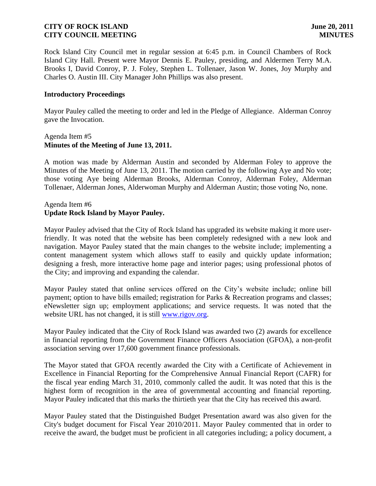Rock Island City Council met in regular session at 6:45 p.m. in Council Chambers of Rock Island City Hall. Present were Mayor Dennis E. Pauley, presiding, and Aldermen Terry M.A. Brooks I, David Conroy, P. J. Foley, Stephen L. Tollenaer, Jason W. Jones, Joy Murphy and Charles O. Austin III. City Manager John Phillips was also present.

### **Introductory Proceedings**

Mayor Pauley called the meeting to order and led in the Pledge of Allegiance. Alderman Conroy gave the Invocation.

#### Agenda Item #5 **Minutes of the Meeting of June 13, 2011.**

A motion was made by Alderman Austin and seconded by Alderman Foley to approve the Minutes of the Meeting of June 13, 2011. The motion carried by the following Aye and No vote; those voting Aye being Alderman Brooks, Alderman Conroy, Alderman Foley, Alderman Tollenaer, Alderman Jones, Alderwoman Murphy and Alderman Austin; those voting No, none.

# Agenda Item #6 **Update Rock Island by Mayor Pauley.**

Mayor Pauley advised that the City of Rock Island has upgraded its website making it more userfriendly. It was noted that the website has been completely redesigned with a new look and navigation. Mayor Pauley stated that the main changes to the website include; implementing a content management system which allows staff to easily and quickly update information; designing a fresh, more interactive home page and interior pages; using professional photos of the City; and improving and expanding the calendar.

Mayor Pauley stated that online services offered on the City's website include; online bill payment; option to have bills emailed; registration for Parks & Recreation programs and classes; eNewsletter sign up; employment applications; and service requests. It was noted that the website URL has not changed, it is still [www.rigov.org.](http://www.rigov.org/)

Mayor Pauley indicated that the City of Rock Island was awarded two (2) awards for excellence in financial reporting from the Government Finance Officers Association (GFOA), a non-profit association serving over 17,600 government finance professionals.

The Mayor stated that GFOA recently awarded the City with a Certificate of Achievement in Excellence in Financial Reporting for the Comprehensive Annual Financial Report (CAFR) for the fiscal year ending March 31, 2010, commonly called the audit. It was noted that this is the highest form of recognition in the area of governmental accounting and financial reporting. Mayor Pauley indicated that this marks the thirtieth year that the City has received this award.

Mayor Pauley stated that the Distinguished Budget Presentation award was also given for the City's budget document for Fiscal Year 2010/2011. Mayor Pauley commented that in order to receive the award, the budget must be proficient in all categories including; a policy document, a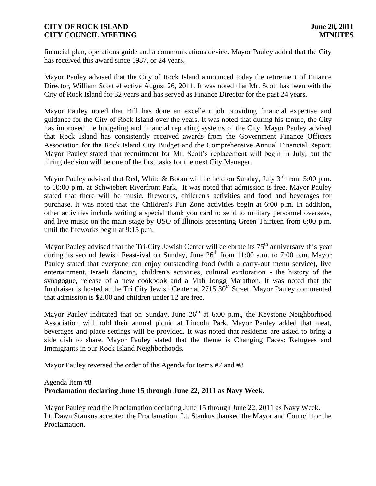financial plan, operations guide and a communications device. Mayor Pauley added that the City has received this award since 1987, or 24 years.

Mayor Pauley advised that the City of Rock Island announced today the retirement of Finance Director, William Scott effective August 26, 2011. It was noted that Mr. Scott has been with the City of Rock Island for 32 years and has served as Finance Director for the past 24 years.

Mayor Pauley noted that Bill has done an excellent job providing financial expertise and guidance for the City of Rock Island over the years. It was noted that during his tenure, the City has improved the budgeting and financial reporting systems of the City. Mayor Pauley advised that Rock Island has consistently received awards from the Government Finance Officers Association for the Rock Island City Budget and the Comprehensive Annual Financial Report. Mayor Pauley stated that recruitment for Mr. Scott's replacement will begin in July, but the hiring decision will be one of the first tasks for the next City Manager.

Mayor Pauley advised that Red, White & Boom will be held on Sunday, July  $3<sup>rd</sup>$  from 5:00 p.m. to 10:00 p.m. at Schwiebert Riverfront Park. It was noted that admission is free. Mayor Pauley stated that there will be music, fireworks, children's activities and food and beverages for purchase. It was noted that the Children's Fun Zone activities begin at 6:00 p.m. In addition, other activities include writing a special thank you card to send to military personnel overseas, and live music on the main stage by USO of Illinois presenting Green Thirteen from 6:00 p.m. until the fireworks begin at 9:15 p.m.

Mayor Pauley advised that the Tri-City Jewish Center will celebrate its 75<sup>th</sup> anniversary this year during its second Jewish Feast-ival on Sunday, June  $26<sup>th</sup>$  from 11:00 a.m. to 7:00 p.m. Mayor Pauley stated that everyone can enjoy outstanding food (with a carry-out menu service), live entertainment, Israeli dancing, children's activities, cultural exploration - the history of the synagogue, release of a new cookbook and a Mah Jongg Marathon. It was noted that the fundraiser is hosted at the Tri City Jewish Center at 2715 30<sup>th</sup> Street. Mayor Pauley commented that admission is \$2.00 and children under 12 are free.

Mayor Pauley indicated that on Sunday, June  $26<sup>th</sup>$  at 6:00 p.m., the Keystone Neighborhood Association will hold their annual picnic at Lincoln Park. Mayor Pauley added that meat, beverages and place settings will be provided. It was noted that residents are asked to bring a side dish to share. Mayor Pauley stated that the theme is Changing Faces: Refugees and Immigrants in our Rock Island Neighborhoods.

Mayor Pauley reversed the order of the Agenda for Items #7 and #8

# Agenda Item #8 **Proclamation declaring June 15 through June 22, 2011 as Navy Week.**

Mayor Pauley read the Proclamation declaring June 15 through June 22, 2011 as Navy Week. Lt. Dawn Stankus accepted the Proclamation. Lt. Stankus thanked the Mayor and Council for the Proclamation.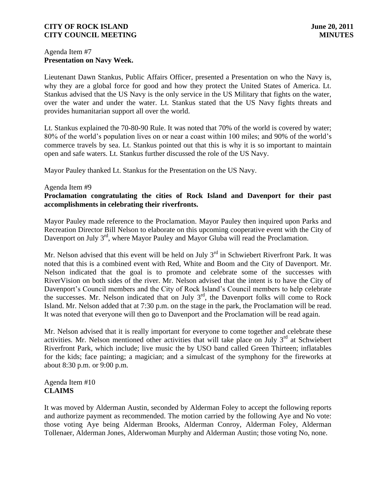# Agenda Item #7 **Presentation on Navy Week.**

Lieutenant Dawn Stankus, Public Affairs Officer, presented a Presentation on who the Navy is, why they are a global force for good and how they protect the United States of America. Lt. Stankus advised that the US Navy is the only service in the US Military that fights on the water, over the water and under the water. Lt. Stankus stated that the US Navy fights threats and provides humanitarian support all over the world.

Lt. Stankus explained the 70-80-90 Rule. It was noted that 70% of the world is covered by water; 80% of the world's population lives on or near a coast within 100 miles; and 90% of the world's commerce travels by sea. Lt. Stankus pointed out that this is why it is so important to maintain open and safe waters. Lt. Stankus further discussed the role of the US Navy.

Mayor Pauley thanked Lt. Stankus for the Presentation on the US Navy.

### Agenda Item #9

# **Proclamation congratulating the cities of Rock Island and Davenport for their past accomplishments in celebrating their riverfronts.**

Mayor Pauley made reference to the Proclamation. Mayor Pauley then inquired upon Parks and Recreation Director Bill Nelson to elaborate on this upcoming cooperative event with the City of Davenport on July 3<sup>rd</sup>, where Mayor Pauley and Mayor Gluba will read the Proclamation.

Mr. Nelson advised that this event will be held on July 3<sup>rd</sup> in Schwiebert Riverfront Park. It was noted that this is a combined event with Red, White and Boom and the City of Davenport. Mr. Nelson indicated that the goal is to promote and celebrate some of the successes with RiverVision on both sides of the river. Mr. Nelson advised that the intent is to have the City of Davenport's Council members and the City of Rock Island's Council members to help celebrate the successes. Mr. Nelson indicated that on July  $3<sup>rd</sup>$ , the Davenport folks will come to Rock Island. Mr. Nelson added that at 7:30 p.m. on the stage in the park, the Proclamation will be read. It was noted that everyone will then go to Davenport and the Proclamation will be read again.

Mr. Nelson advised that it is really important for everyone to come together and celebrate these activities. Mr. Nelson mentioned other activities that will take place on July 3<sup>rd</sup> at Schwiebert Riverfront Park, which include; live music the by USO band called Green Thirteen; inflatables for the kids; face painting; a magician; and a simulcast of the symphony for the fireworks at about 8:30 p.m. or 9:00 p.m.

# Agenda Item #10 **CLAIMS**

It was moved by Alderman Austin, seconded by Alderman Foley to accept the following reports and authorize payment as recommended. The motion carried by the following Aye and No vote: those voting Aye being Alderman Brooks, Alderman Conroy, Alderman Foley, Alderman Tollenaer, Alderman Jones, Alderwoman Murphy and Alderman Austin; those voting No, none.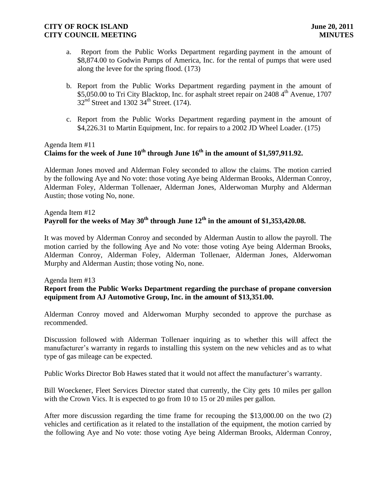- a. Report from the Public Works Department regarding payment in the amount of \$8,874.00 to Godwin Pumps of America, Inc. for the rental of pumps that were used along the levee for the spring flood. (173)
- b. Report from the Public Works Department regarding payment in the amount of \$5,050.00 to Tri City Blacktop, Inc. for asphalt street repair on 2408 4<sup>th</sup> Avenue, 1707  $32<sup>nd</sup>$  Street and  $1302$   $34<sup>th</sup>$  Street. (174).
- c. Report from the Public Works Department regarding payment in the amount of \$4,226.31 to Martin Equipment, Inc. for repairs to a 2002 JD Wheel Loader. (175)

# Agenda Item #11 **Claims for the week of June 10th through June 16th in the amount of \$1,597,911.92.**

Alderman Jones moved and Alderman Foley seconded to allow the claims. The motion carried by the following Aye and No vote: those voting Aye being Alderman Brooks, Alderman Conroy, Alderman Foley, Alderman Tollenaer, Alderman Jones, Alderwoman Murphy and Alderman Austin; those voting No, none.

# Agenda Item #12 Payroll for the weeks of May 30<sup>th</sup> through June  $12^{th}$  in the amount of \$1,353,420.08.

It was moved by Alderman Conroy and seconded by Alderman Austin to allow the payroll. The motion carried by the following Aye and No vote: those voting Aye being Alderman Brooks, Alderman Conroy, Alderman Foley, Alderman Tollenaer, Alderman Jones, Alderwoman Murphy and Alderman Austin; those voting No, none.

### Agenda Item #13

# **Report from the Public Works Department regarding the purchase of propane conversion equipment from AJ Automotive Group, Inc. in the amount of \$13,351.00.**

Alderman Conroy moved and Alderwoman Murphy seconded to approve the purchase as recommended.

Discussion followed with Alderman Tollenaer inquiring as to whether this will affect the manufacturer's warranty in regards to installing this system on the new vehicles and as to what type of gas mileage can be expected.

Public Works Director Bob Hawes stated that it would not affect the manufacturer's warranty.

Bill Woeckener, Fleet Services Director stated that currently, the City gets 10 miles per gallon with the Crown Vics. It is expected to go from 10 to 15 or 20 miles per gallon.

After more discussion regarding the time frame for recouping the \$13,000.00 on the two (2) vehicles and certification as it related to the installation of the equipment, the motion carried by the following Aye and No vote: those voting Aye being Alderman Brooks, Alderman Conroy,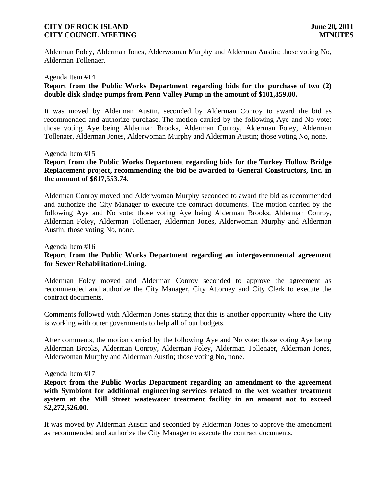Alderman Foley, Alderman Jones, Alderwoman Murphy and Alderman Austin; those voting No, Alderman Tollenaer.

#### Agenda Item #14

# **Report from the Public Works Department regarding bids for the purchase of two (2) double disk sludge pumps from Penn Valley Pump in the amount of \$101,859.00.**

It was moved by Alderman Austin, seconded by Alderman Conroy to award the bid as recommended and authorize purchase. The motion carried by the following Aye and No vote: those voting Aye being Alderman Brooks, Alderman Conroy, Alderman Foley, Alderman Tollenaer, Alderman Jones, Alderwoman Murphy and Alderman Austin; those voting No, none.

#### Agenda Item #15

# **Report from the Public Works Department regarding bids for the Turkey Hollow Bridge Replacement project, recommending the bid be awarded to General Constructors, Inc. in the amount of \$617,553.74**.

Alderman Conroy moved and Alderwoman Murphy seconded to award the bid as recommended and authorize the City Manager to execute the contract documents. The motion carried by the following Aye and No vote: those voting Aye being Alderman Brooks, Alderman Conroy, Alderman Foley, Alderman Tollenaer, Alderman Jones, Alderwoman Murphy and Alderman Austin; those voting No, none.

### Agenda Item #16 **Report from the Public Works Department regarding an intergovernmental agreement for Sewer Rehabilitation/Lining.**

Alderman Foley moved and Alderman Conroy seconded to approve the agreement as recommended and authorize the City Manager, City Attorney and City Clerk to execute the contract documents.

Comments followed with Alderman Jones stating that this is another opportunity where the City is working with other governments to help all of our budgets.

After comments, the motion carried by the following Aye and No vote: those voting Aye being Alderman Brooks, Alderman Conroy, Alderman Foley, Alderman Tollenaer, Alderman Jones, Alderwoman Murphy and Alderman Austin; those voting No, none.

#### Agenda Item #17

**Report from the Public Works Department regarding an amendment to the agreement with Symbiont for additional engineering services related to the wet weather treatment system at the Mill Street wastewater treatment facility in an amount not to exceed \$2,272,526.00.**

It was moved by Alderman Austin and seconded by Alderman Jones to approve the amendment as recommended and authorize the City Manager to execute the contract documents.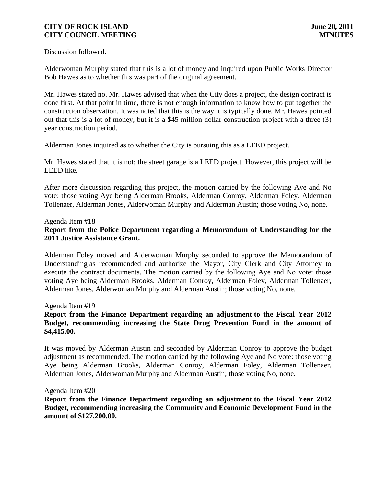Discussion followed.

Alderwoman Murphy stated that this is a lot of money and inquired upon Public Works Director Bob Hawes as to whether this was part of the original agreement.

Mr. Hawes stated no. Mr. Hawes advised that when the City does a project, the design contract is done first. At that point in time, there is not enough information to know how to put together the construction observation. It was noted that this is the way it is typically done. Mr. Hawes pointed out that this is a lot of money, but it is a \$45 million dollar construction project with a three (3) year construction period.

Alderman Jones inquired as to whether the City is pursuing this as a LEED project.

Mr. Hawes stated that it is not; the street garage is a LEED project. However, this project will be LEED like.

After more discussion regarding this project, the motion carried by the following Aye and No vote: those voting Aye being Alderman Brooks, Alderman Conroy, Alderman Foley, Alderman Tollenaer, Alderman Jones, Alderwoman Murphy and Alderman Austin; those voting No, none.

# Agenda Item #18 **Report from the Police Department regarding a Memorandum of Understanding for the 2011 Justice Assistance Grant.**

Alderman Foley moved and Alderwoman Murphy seconded to approve the Memorandum of Understanding as recommended and authorize the Mayor, City Clerk and City Attorney to execute the contract documents. The motion carried by the following Aye and No vote: those voting Aye being Alderman Brooks, Alderman Conroy, Alderman Foley, Alderman Tollenaer, Alderman Jones, Alderwoman Murphy and Alderman Austin; those voting No, none.

Agenda Item #19

# **Report from the Finance Department regarding an adjustment to the Fiscal Year 2012 Budget, recommending increasing the State Drug Prevention Fund in the amount of \$4,415.00.**

It was moved by Alderman Austin and seconded by Alderman Conroy to approve the budget adjustment as recommended. The motion carried by the following Aye and No vote: those voting Aye being Alderman Brooks, Alderman Conroy, Alderman Foley, Alderman Tollenaer, Alderman Jones, Alderwoman Murphy and Alderman Austin; those voting No, none.

#### Agenda Item #20

**Report from the Finance Department regarding an adjustment to the Fiscal Year 2012 Budget, recommending increasing the Community and Economic Development Fund in the amount of \$127,200.00.**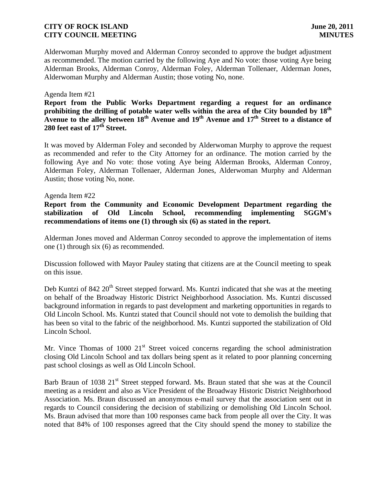Alderwoman Murphy moved and Alderman Conroy seconded to approve the budget adjustment as recommended. The motion carried by the following Aye and No vote: those voting Aye being Alderman Brooks, Alderman Conroy, Alderman Foley, Alderman Tollenaer, Alderman Jones, Alderwoman Murphy and Alderman Austin; those voting No, none.

#### Agenda Item #21

**Report from the Public Works Department regarding a request for an ordinance prohibiting the drilling of potable water wells within the area of the City bounded by 18th Avenue to the alley between 18th Avenue and 19th Avenue and 17th Street to a distance of 280 feet east of 17th Street.**

It was moved by Alderman Foley and seconded by Alderwoman Murphy to approve the request as recommended and refer to the City Attorney for an ordinance. The motion carried by the following Aye and No vote: those voting Aye being Alderman Brooks, Alderman Conroy, Alderman Foley, Alderman Tollenaer, Alderman Jones, Alderwoman Murphy and Alderman Austin; those voting No, none.

#### Agenda Item #22

**Report from the Community and Economic Development Department regarding the stabilization of Old Lincoln School, recommending implementing SGGM's recommendations of items one (1) through six (6) as stated in the report.**

Alderman Jones moved and Alderman Conroy seconded to approve the implementation of items one (1) through six (6) as recommended.

Discussion followed with Mayor Pauley stating that citizens are at the Council meeting to speak on this issue.

Deb Kuntzi of 842  $20<sup>th</sup>$  Street stepped forward. Ms. Kuntzi indicated that she was at the meeting on behalf of the Broadway Historic District Neighborhood Association. Ms. Kuntzi discussed background information in regards to past development and marketing opportunities in regards to Old Lincoln School. Ms. Kuntzi stated that Council should not vote to demolish the building that has been so vital to the fabric of the neighborhood. Ms. Kuntzi supported the stabilization of Old Lincoln School.

Mr. Vince Thomas of 1000  $21<sup>st</sup>$  Street voiced concerns regarding the school administration closing Old Lincoln School and tax dollars being spent as it related to poor planning concerning past school closings as well as Old Lincoln School.

Barb Braun of 1038 21<sup>st</sup> Street stepped forward. Ms. Braun stated that she was at the Council meeting as a resident and also as Vice President of the Broadway Historic District Neighborhood Association. Ms. Braun discussed an anonymous e-mail survey that the association sent out in regards to Council considering the decision of stabilizing or demolishing Old Lincoln School. Ms. Braun advised that more than 100 responses came back from people all over the City. It was noted that 84% of 100 responses agreed that the City should spend the money to stabilize the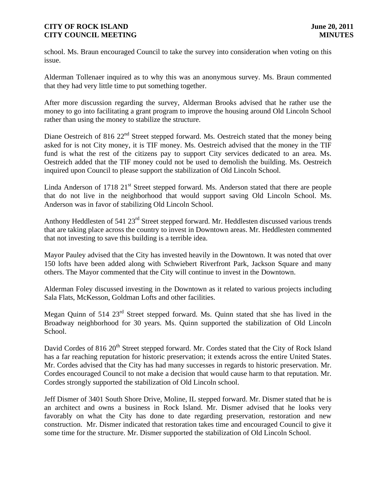school. Ms. Braun encouraged Council to take the survey into consideration when voting on this issue.

Alderman Tollenaer inquired as to why this was an anonymous survey. Ms. Braun commented that they had very little time to put something together.

After more discussion regarding the survey, Alderman Brooks advised that he rather use the money to go into facilitating a grant program to improve the housing around Old Lincoln School rather than using the money to stabilize the structure.

Diane Oestreich of 816 22<sup>nd</sup> Street stepped forward. Ms. Oestreich stated that the money being asked for is not City money, it is TIF money. Ms. Oestreich advised that the money in the TIF fund is what the rest of the citizens pay to support City services dedicated to an area. Ms. Oestreich added that the TIF money could not be used to demolish the building. Ms. Oestreich inquired upon Council to please support the stabilization of Old Lincoln School.

Linda Anderson of 1718  $21<sup>st</sup>$  Street stepped forward. Ms. Anderson stated that there are people that do not live in the neighborhood that would support saving Old Lincoln School. Ms. Anderson was in favor of stabilizing Old Lincoln School.

Anthony Heddlesten of 541 23<sup>rd</sup> Street stepped forward. Mr. Heddlesten discussed various trends that are taking place across the country to invest in Downtown areas. Mr. Heddlesten commented that not investing to save this building is a terrible idea.

Mayor Pauley advised that the City has invested heavily in the Downtown. It was noted that over 150 lofts have been added along with Schwiebert Riverfront Park, Jackson Square and many others. The Mayor commented that the City will continue to invest in the Downtown.

Alderman Foley discussed investing in the Downtown as it related to various projects including Sala Flats, McKesson, Goldman Lofts and other facilities.

Megan Quinn of 514 23<sup>rd</sup> Street stepped forward. Ms. Quinn stated that she has lived in the Broadway neighborhood for 30 years. Ms. Quinn supported the stabilization of Old Lincoln School.

David Cordes of 816  $20<sup>th</sup>$  Street stepped forward. Mr. Cordes stated that the City of Rock Island has a far reaching reputation for historic preservation; it extends across the entire United States. Mr. Cordes advised that the City has had many successes in regards to historic preservation. Mr. Cordes encouraged Council to not make a decision that would cause harm to that reputation. Mr. Cordes strongly supported the stabilization of Old Lincoln school.

Jeff Dismer of 3401 South Shore Drive, Moline, IL stepped forward. Mr. Dismer stated that he is an architect and owns a business in Rock Island. Mr. Dismer advised that he looks very favorably on what the City has done to date regarding preservation, restoration and new construction. Mr. Dismer indicated that restoration takes time and encouraged Council to give it some time for the structure. Mr. Dismer supported the stabilization of Old Lincoln School.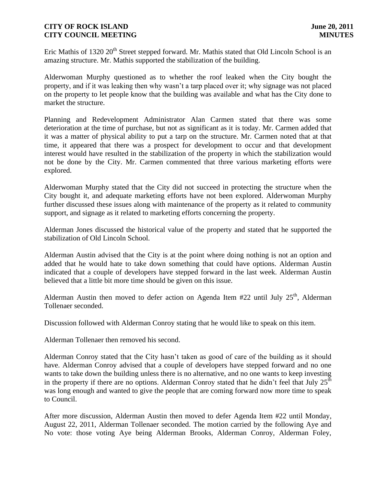Eric Mathis of 1320 20<sup>th</sup> Street stepped forward. Mr. Mathis stated that Old Lincoln School is an amazing structure. Mr. Mathis supported the stabilization of the building.

Alderwoman Murphy questioned as to whether the roof leaked when the City bought the property, and if it was leaking then why wasn't a tarp placed over it; why signage was not placed on the property to let people know that the building was available and what has the City done to market the structure.

Planning and Redevelopment Administrator Alan Carmen stated that there was some deterioration at the time of purchase, but not as significant as it is today. Mr. Carmen added that it was a matter of physical ability to put a tarp on the structure. Mr. Carmen noted that at that time, it appeared that there was a prospect for development to occur and that development interest would have resulted in the stabilization of the property in which the stabilization would not be done by the City. Mr. Carmen commented that three various marketing efforts were explored.

Alderwoman Murphy stated that the City did not succeed in protecting the structure when the City bought it, and adequate marketing efforts have not been explored. Alderwoman Murphy further discussed these issues along with maintenance of the property as it related to community support, and signage as it related to marketing efforts concerning the property.

Alderman Jones discussed the historical value of the property and stated that he supported the stabilization of Old Lincoln School.

Alderman Austin advised that the City is at the point where doing nothing is not an option and added that he would hate to take down something that could have options. Alderman Austin indicated that a couple of developers have stepped forward in the last week. Alderman Austin believed that a little bit more time should be given on this issue.

Alderman Austin then moved to defer action on Agenda Item  $#22$  until July  $25<sup>th</sup>$ , Alderman Tollenaer seconded.

Discussion followed with Alderman Conroy stating that he would like to speak on this item.

Alderman Tollenaer then removed his second.

Alderman Conroy stated that the City hasn't taken as good of care of the building as it should have. Alderman Conroy advised that a couple of developers have stepped forward and no one wants to take down the building unless there is no alternative, and no one wants to keep investing in the property if there are no options. Alderman Conroy stated that he didn't feel that July  $25^{\text{th}}$ was long enough and wanted to give the people that are coming forward now more time to speak to Council.

After more discussion, Alderman Austin then moved to defer Agenda Item #22 until Monday, August 22, 2011, Alderman Tollenaer seconded. The motion carried by the following Aye and No vote: those voting Aye being Alderman Brooks, Alderman Conroy, Alderman Foley,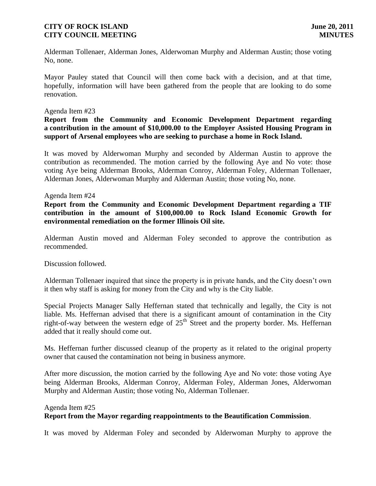Alderman Tollenaer, Alderman Jones, Alderwoman Murphy and Alderman Austin; those voting No, none.

Mayor Pauley stated that Council will then come back with a decision, and at that time, hopefully, information will have been gathered from the people that are looking to do some renovation.

#### Agenda Item #23

### **Report from the Community and Economic Development Department regarding a contribution in the amount of \$10,000.00 to the Employer Assisted Housing Program in support of Arsenal employees who are seeking to purchase a home in Rock Island.**

It was moved by Alderwoman Murphy and seconded by Alderman Austin to approve the contribution as recommended. The motion carried by the following Aye and No vote: those voting Aye being Alderman Brooks, Alderman Conroy, Alderman Foley, Alderman Tollenaer, Alderman Jones, Alderwoman Murphy and Alderman Austin; those voting No, none.

#### Agenda Item #24

# **Report from the Community and Economic Development Department regarding a TIF contribution in the amount of \$100,000.00 to Rock Island Economic Growth for environmental remediation on the former Illinois Oil site.**

Alderman Austin moved and Alderman Foley seconded to approve the contribution as recommended.

Discussion followed.

Alderman Tollenaer inquired that since the property is in private hands, and the City doesn't own it then why staff is asking for money from the City and why is the City liable.

Special Projects Manager Sally Heffernan stated that technically and legally, the City is not liable. Ms. Heffernan advised that there is a significant amount of contamination in the City right-of-way between the western edge of  $25<sup>th</sup>$  Street and the property border. Ms. Heffernan added that it really should come out.

Ms. Heffernan further discussed cleanup of the property as it related to the original property owner that caused the contamination not being in business anymore.

After more discussion, the motion carried by the following Aye and No vote: those voting Aye being Alderman Brooks, Alderman Conroy, Alderman Foley, Alderman Jones, Alderwoman Murphy and Alderman Austin; those voting No, Alderman Tollenaer.

### Agenda Item #25 **Report from the Mayor regarding reappointments to the Beautification Commission**.

It was moved by Alderman Foley and seconded by Alderwoman Murphy to approve the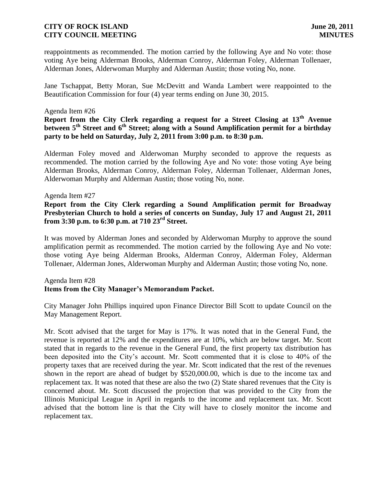reappointments as recommended. The motion carried by the following Aye and No vote: those voting Aye being Alderman Brooks, Alderman Conroy, Alderman Foley, Alderman Tollenaer, Alderman Jones, Alderwoman Murphy and Alderman Austin; those voting No, none.

Jane Tschappat, Betty Moran, Sue McDevitt and Wanda Lambert were reappointed to the Beautification Commission for four (4) year terms ending on June 30, 2015.

#### Agenda Item #26

# **Report from the City Clerk regarding a request for a Street Closing at 13th Avenue between 5th Street and 6th Street; along with a Sound Amplification permit for a birthday party to be held on Saturday, July 2, 2011 from 3:00 p.m. to 8:30 p.m.**

Alderman Foley moved and Alderwoman Murphy seconded to approve the requests as recommended. The motion carried by the following Aye and No vote: those voting Aye being Alderman Brooks, Alderman Conroy, Alderman Foley, Alderman Tollenaer, Alderman Jones, Alderwoman Murphy and Alderman Austin; those voting No, none.

#### Agenda Item #27

# **Report from the City Clerk regarding a Sound Amplification permit for Broadway Presbyterian Church to hold a series of concerts on Sunday, July 17 and August 21, 2011 from 3:30 p.m. to 6:30 p.m. at 710 23rd Street.**

It was moved by Alderman Jones and seconded by Alderwoman Murphy to approve the sound amplification permit as recommended. The motion carried by the following Aye and No vote: those voting Aye being Alderman Brooks, Alderman Conroy, Alderman Foley, Alderman Tollenaer, Alderman Jones, Alderwoman Murphy and Alderman Austin; those voting No, none.

### Agenda Item #28 **Items from the City Manager's Memorandum Packet.**

City Manager John Phillips inquired upon Finance Director Bill Scott to update Council on the May Management Report.

Mr. Scott advised that the target for May is 17%. It was noted that in the General Fund, the revenue is reported at 12% and the expenditures are at 10%, which are below target. Mr. Scott stated that in regards to the revenue in the General Fund, the first property tax distribution has been deposited into the City's account. Mr. Scott commented that it is close to 40% of the property taxes that are received during the year. Mr. Scott indicated that the rest of the revenues shown in the report are ahead of budget by \$520,000.00, which is due to the income tax and replacement tax. It was noted that these are also the two (2) State shared revenues that the City is concerned about. Mr. Scott discussed the projection that was provided to the City from the Illinois Municipal League in April in regards to the income and replacement tax. Mr. Scott advised that the bottom line is that the City will have to closely monitor the income and replacement tax.